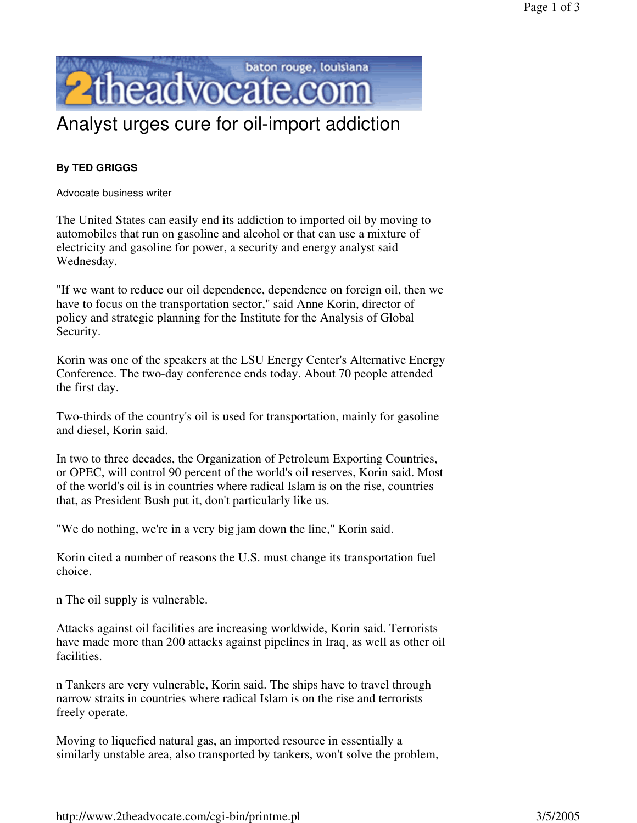

## Analyst urges cure for oil-import addiction

## **By TED GRIGGS**

Advocate business writer

The United States can easily end its addiction to imported oil by moving to automobiles that run on gasoline and alcohol or that can use a mixture of electricity and gasoline for power, a security and energy analyst said Wednesday.

"If we want to reduce our oil dependence, dependence on foreign oil, then we have to focus on the transportation sector," said Anne Korin, director of policy and strategic planning for the Institute for the Analysis of Global Security.

Korin was one of the speakers at the LSU Energy Center's Alternative Energy Conference. The two-day conference ends today. About 70 people attended the first day.

Two-thirds of the country's oil is used for transportation, mainly for gasoline and diesel, Korin said.

In two to three decades, the Organization of Petroleum Exporting Countries, or OPEC, will control 90 percent of the world's oil reserves, Korin said. Most of the world's oil is in countries where radical Islam is on the rise, countries that, as President Bush put it, don't particularly like us.

"We do nothing, we're in a very big jam down the line," Korin said.

Korin cited a number of reasons the U.S. must change its transportation fuel choice.

n The oil supply is vulnerable.

Attacks against oil facilities are increasing worldwide, Korin said. Terrorists have made more than 200 attacks against pipelines in Iraq, as well as other oil facilities.

n Tankers are very vulnerable, Korin said. The ships have to travel through narrow straits in countries where radical Islam is on the rise and terrorists freely operate.

Moving to liquefied natural gas, an imported resource in essentially a similarly unstable area, also transported by tankers, won't solve the problem,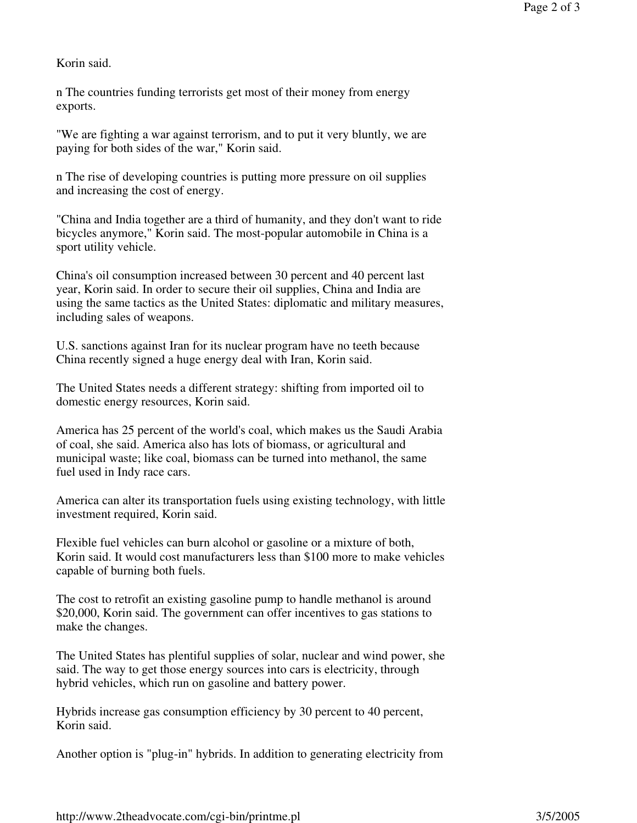Korin said.

n The countries funding terrorists get most of their money from energy exports.

"We are fighting a war against terrorism, and to put it very bluntly, we are paying for both sides of the war," Korin said.

n The rise of developing countries is putting more pressure on oil supplies and increasing the cost of energy.

"China and India together are a third of humanity, and they don't want to ride bicycles anymore," Korin said. The most-popular automobile in China is a sport utility vehicle.

China's oil consumption increased between 30 percent and 40 percent last year, Korin said. In order to secure their oil supplies, China and India are using the same tactics as the United States: diplomatic and military measures, including sales of weapons.

U.S. sanctions against Iran for its nuclear program have no teeth because China recently signed a huge energy deal with Iran, Korin said.

The United States needs a different strategy: shifting from imported oil to domestic energy resources, Korin said.

America has 25 percent of the world's coal, which makes us the Saudi Arabia of coal, she said. America also has lots of biomass, or agricultural and municipal waste; like coal, biomass can be turned into methanol, the same fuel used in Indy race cars.

America can alter its transportation fuels using existing technology, with little investment required, Korin said.

Flexible fuel vehicles can burn alcohol or gasoline or a mixture of both, Korin said. It would cost manufacturers less than \$100 more to make vehicles capable of burning both fuels.

The cost to retrofit an existing gasoline pump to handle methanol is around \$20,000, Korin said. The government can offer incentives to gas stations to make the changes.

The United States has plentiful supplies of solar, nuclear and wind power, she said. The way to get those energy sources into cars is electricity, through hybrid vehicles, which run on gasoline and battery power.

Hybrids increase gas consumption efficiency by 30 percent to 40 percent, Korin said.

Another option is "plug-in" hybrids. In addition to generating electricity from